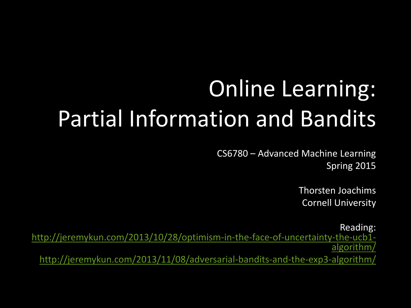## Online Learning: Partial Information and Bandits

CS6780 – Advanced Machine Learning Spring 2015

> Thorsten Joachims Cornell University

Reading: [http://jeremykun.com/2013/10/28/optimism-in-the-face-of-uncertainty-the-ucb1](http://jeremykun.com/2013/10/28/optimism-in-the-face-of-uncertainty-the-ucb1-algorithm/) [algorithm/](http://jeremykun.com/2013/10/28/optimism-in-the-face-of-uncertainty-the-ucb1-algorithm/) <http://jeremykun.com/2013/11/08/adversarial-bandits-and-the-exp3-algorithm/>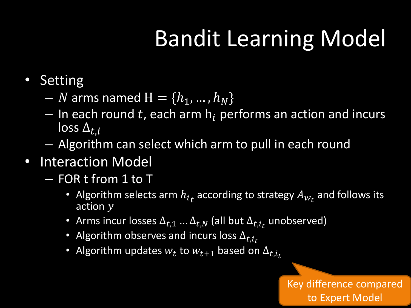## Bandit Learning Model

- Setting
	- *N* arms named  $H = \{h_1, ..., h_N\}$
	- In each round t, each arm  $h_i$  performs an action and incurs  $\overline{\log_5\Delta_{t,i}}$
	- Algorithm can select which arm to pull in each round
- Interaction Model
	- FOR t from 1 to T
		- Algorithm selects arm  $h_{it}$  according to strategy  $A_{W_t}$  and follows its action  $y$
		- Arms incur losses  $\Delta_{t,1}$  ...  $\Delta_{t,N}$  (all but  $\Delta_{t,i_t}$  unobserved)
		- Algorithm observes and incurs loss  $\Delta_{t,i_t}$
		- Algorithm updates  $w_t$  to  $w_{t+1}$  based on  $\Delta_{t,i_t}$

Key difference compared to Expert Model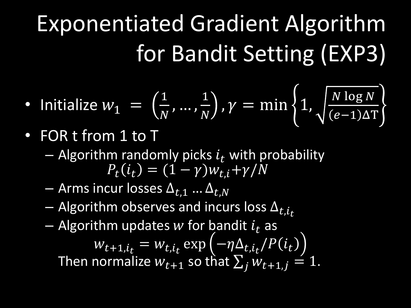# Exponentiated Gradient Algorithm for Bandit Setting (EXP3)

• Initialize 
$$
w_1 = \left(\frac{1}{N}, \dots, \frac{1}{N}\right), \gamma = \min\left\{1, \sqrt{\frac{N \log N}{(e-1)\Delta T}}\right\}
$$

- FOR t from 1 to T
	- Algorithm randomly picks  $i_t$  with probability  $P_t(i_t) = (1 - \gamma)w_{t,i} + \gamma/N$
	- Arms incur losses  $\Delta_{t,1}$  …  $\Delta_{t,N}$
	- Algorithm observes and incurs loss  $\Delta_{t,i}$
	- Algorithm updates w for bandit  $i_t$  as

 $w_{t+1,i_t} = w_{t,i_t} \exp\left(-\eta \Delta_{t,i_t}/P(i_t)\right)$ Then normalize  $w_{t+1}$  so that  $\sum_j w_{t+1,j} = 1$ .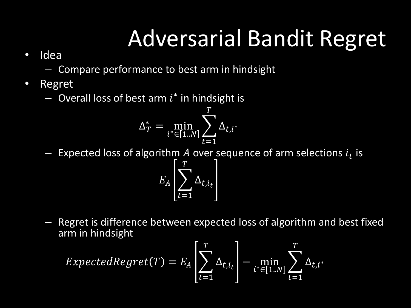## Adversarial Bandit Regret

- Idea
	- Compare performance to best arm in hindsight
- Regret
	- $-$  Overall loss of best arm  $i^*$  in hindsight is

$$
\Delta_T^* = \min_{i^* \in [1..N]} \sum_{t=1}^T \Delta_{t,i^*}
$$

 $-$  Expected loss of algorithm  $A$  over sequence of arm selections  $i_t$  is

 $E_A \big| \sum_i \Delta_{t,i_t}$  $\overline{T}$  $t=1$ 

– Regret is difference between expected loss of algorithm and best fixed arm in hindsight

$$
ExpectedRegret(T) = E_A \left[ \sum_{t=1}^{T} \Delta_{t,i_t} \right] - \min_{i^* \in [1..N]} \sum_{t=1}^{T} \Delta_{t,i^*}
$$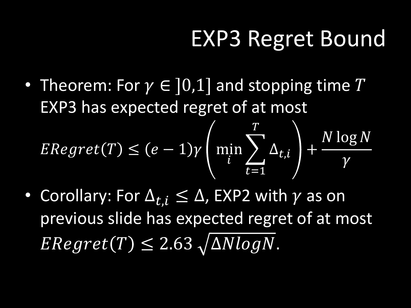#### EXP3 Regret Bound

• Theorem: For  $\gamma \in [0,1]$  and stopping time T EXP3 has expected regret of at most  $\overline{T}$ 

$$
ERegret(T) \le (e-1)\gamma \left(\min_{i} \sum_{t=1}^{I} \Delta_{t,i}\right) + \frac{N \log N}{\gamma}
$$

• Corollary: For  $\Delta_{t,i} \leq \Delta$ , EXP2 with  $\gamma$  as on previous slide has expected regret of at most  $ERegret(T) \leq 2.63 \sqrt{\Delta N} log N$ .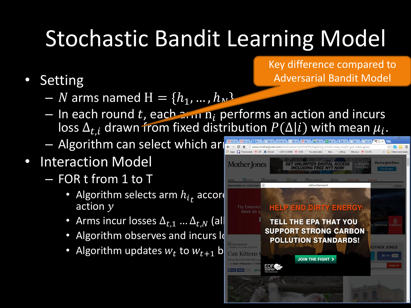# Stochastic Bandit Learning Model

- **Setting** 
	- N arms named  $H = \{h_1, ..., h_N\}$
	- In each round t, each  $\frac{1}{2}$  in  $n_i$  performs an action and incurs loss  $\Delta_{t,i}$  drawn from fixed distribution  $P(\Delta|i)$  with mean  $\mu_i$ .
	- $-$  Algorithm can select which ar
- Interaction Model
	- FOR t from 1 to T
		- Algorithm selects arm  $h_{i}$  according to strategy  $\blacksquare$ action  $y$
		-
		- Algorithm observes and incurs  $\log$
		- Algorithm updates  $w_t$  to  $w_{t+1}$  b can Kittens and  $\blacksquare$



Key difference compared to Adversarial Bandit Model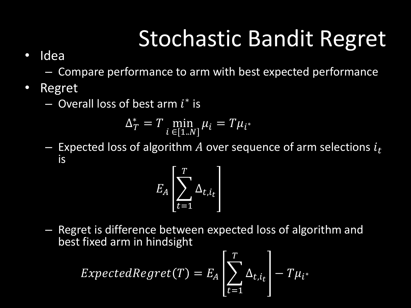#### Stochastic Bandit Regret

#### • Idea

– Compare performance to arm with best expected performance

- Regret
	- $-$  Overall loss of best arm  $i^*$  is

$$
\Delta_T^* = T \min_{i \in [1..N]} \mu_i = T\mu_{i^*}
$$

Expected loss of algorithm A over sequence of arm selections  $i_t$ is

$$
E_A\left[\sum_{t=1}^T \Delta_{t,i_t}\right]
$$

– Regret is difference between expected loss of algorithm and best fixed arm in hindsight

$$
ExpectedRegret(T) = E_A \left[ \sum_{t=1}^{T} \Delta_{t,i_t} \right] - T \mu_{i^*}
$$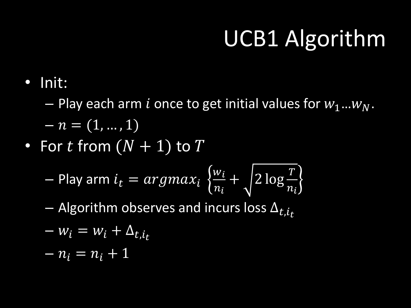## UCB1 Algorithm

• Init:

 $-$  Play each arm *i* once to get initial values for  $w_1...w_N$ .

$$
-n=(1,...,1)
$$

• For  $t$  from  $(N + 1)$  to  $T$ 

$$
-\text{ Play arm } i_t = argmax_i \left\{ \frac{w_i}{n_i} + \sqrt{2 \log \frac{T}{n_i}} \right\}
$$

– Algorithm observes and incurs loss  $\Delta_{t,i_t}$ 

$$
-w_i = w_i + \Delta_{t,i_t}
$$

$$
-n_i=n_i+1
$$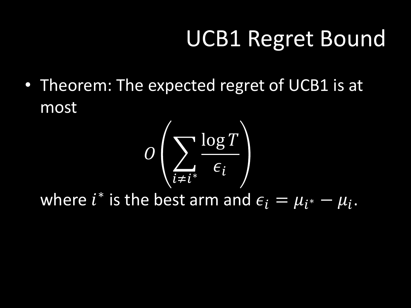#### UCB1 Regret Bound

• Theorem: The expected regret of UCB1 is at most



where  $i^*$  is the best arm and  $\epsilon_i = \mu_{i^*} - \mu_i$ .